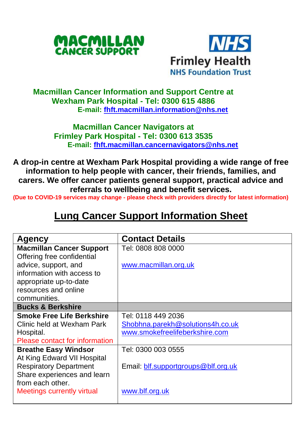



## **Macmillan Cancer Information and Support Centre at Wexham Park Hospital - Tel: 0300 615 4886 E-mail: [fhft.macmillan.information@nhs.net](mailto:fhft.macmillan.information@nhs.net)**

## **Macmillan Cancer Navigators at Frimley Park Hospital - Tel: 0300 613 3535 E-mail: [fhft.macmillan.cancernavigators@nhs.net](mailto:fhft.macmillan.cancernavigators@nhs.net)**

**A drop-in centre at Wexham Park Hospital providing a wide range of free information to help people with cancer, their friends, families, and carers. We offer cancer patients general support, practical advice and referrals to wellbeing and benefit services.**

**(Due to COVID-19 services may change - please check with providers directly for latest information)** 

# **Lung Cancer Support Information Sheet**

| <b>Agency</b>                    | <b>Contact Details</b>              |
|----------------------------------|-------------------------------------|
| <b>Macmillan Cancer Support</b>  | Tel: 0808 808 0000                  |
| Offering free confidential       |                                     |
| advice, support, and             | www.macmillan.org.uk                |
| information with access to       |                                     |
| appropriate up-to-date           |                                     |
| resources and online             |                                     |
| communities.                     |                                     |
| <b>Bucks &amp; Berkshire</b>     |                                     |
| <b>Smoke Free Life Berkshire</b> | Tel: 0118 449 2036                  |
| Clinic held at Wexham Park       | Shobhna.parekh@solutions4h.co.uk    |
| Hospital.                        | www.smokefreelifeberkshire.com      |
| Please contact for information   |                                     |
| <b>Breathe Easy Windsor</b>      | Tel: 0300 003 0555                  |
| At King Edward VII Hospital      |                                     |
| <b>Respiratory Department</b>    | Email: blf.supportgroups@blf.org.uk |
| Share experiences and learn      |                                     |
| from each other.                 |                                     |
| Meetings currently virtual       | www.blf.org.uk                      |
|                                  |                                     |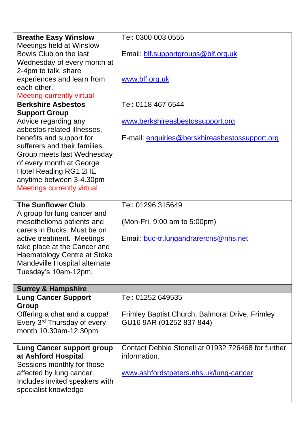| <b>Breathe Easy Winslow</b>      | Tel: 0300 003 0555                                 |
|----------------------------------|----------------------------------------------------|
| Meetings held at Winslow         |                                                    |
| Bowls Club on the last           | Email: blf.supportgroups@blf.org.uk                |
| Wednesday of every month at      |                                                    |
| 2-4pm to talk, share             |                                                    |
| experiences and learn from       | www.blf.org.uk                                     |
| each other.                      |                                                    |
| Meeting currently virtual        |                                                    |
| <b>Berkshire Asbestos</b>        | Tel: 0118 467 6544                                 |
| <b>Support Group</b>             |                                                    |
| Advice regarding any             | www.berkshireasbestossupport.org                   |
| asbestos related illnesses,      |                                                    |
| benefits and support for         | E-mail: enquiries@berskhireasbestossupport.org     |
| sufferers and their families.    |                                                    |
| Group meets last Wednesday       |                                                    |
| of every month at George         |                                                    |
| Hotel Reading RG1 2HE            |                                                    |
| anytime between 3-4.30pm         |                                                    |
| Meetings currently virtual       |                                                    |
|                                  |                                                    |
| <b>The Sunflower Club</b>        | Tel: 01296 315649                                  |
| A group for lung cancer and      |                                                    |
| mesothelioma patients and        | (Mon-Fri, 9:00 am to 5:00pm)                       |
| carers in Bucks. Must be on      |                                                    |
| active treatment. Meetings       | Email: buc-tr.lungandrarercns@nhs.net              |
| take place at the Cancer and     |                                                    |
| Haematology Centre at Stoke      |                                                    |
| Mandeville Hospital alternate    |                                                    |
| Tuesday's 10am-12pm.             |                                                    |
|                                  |                                                    |
| <b>Surrey &amp; Hampshire</b>    |                                                    |
| <b>Lung Cancer Support</b>       | Tel: 01252 649535                                  |
| Group                            |                                                    |
| Offering a chat and a cuppa!     | Frimley Baptist Church, Balmoral Drive, Frimley    |
| Every 3rd Thursday of every      | GU16 9AR (01252 837 844)                           |
| month 10.30am-12.30pm            |                                                    |
| <b>Lung Cancer support group</b> | Contact Debbie Stonell at 01932 726468 for further |
| at Ashford Hospital.             | information.                                       |
| Sessions monthly for those       |                                                    |
| affected by lung cancer.         | www.ashfordstpeters.nhs.uk/lung-cancer             |
| Includes invited speakers with   |                                                    |
| specialist knowledge             |                                                    |
|                                  |                                                    |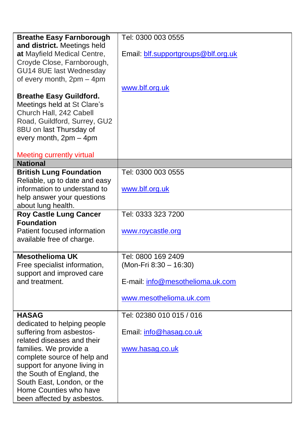| <b>Breathe Easy Farnborough</b>                               | Tel: 0300 003 0555                  |
|---------------------------------------------------------------|-------------------------------------|
| and district. Meetings held<br>at Mayfield Medical Centre,    | Email: blf.supportgroups@blf.org.uk |
| Croyde Close, Farnborough,                                    |                                     |
| GU14 8UE last Wednesday                                       |                                     |
| of every month, 2pm - 4pm                                     |                                     |
|                                                               | www.blf.org.uk                      |
| <b>Breathe Easy Guildford.</b><br>Meetings held at St Clare's |                                     |
| Church Hall, 242 Cabell                                       |                                     |
| Road, Guildford, Surrey, GU2                                  |                                     |
| 8BU on last Thursday of                                       |                                     |
| every month, 2pm - 4pm                                        |                                     |
| Meeting currently virtual                                     |                                     |
| <b>National</b>                                               |                                     |
| <b>British Lung Foundation</b>                                | Tel: 0300 003 0555                  |
| Reliable, up to date and easy                                 |                                     |
| information to understand to<br>help answer your questions    | www.blf.org.uk                      |
| about lung health.                                            |                                     |
| <b>Roy Castle Lung Cancer</b>                                 | Tel: 0333 323 7200                  |
| <b>Foundation</b>                                             |                                     |
| Patient focused information                                   | www.roycastle.org                   |
| available free of charge.                                     |                                     |
| <b>Mesothelioma UK</b>                                        | Tel: 0800 169 2409                  |
| Free specialist information,                                  | (Mon-Fri 8:30 - 16:30)              |
| support and improved care                                     |                                     |
| and treatment.                                                | E-mail: info@mesothelioma.uk.com    |
|                                                               | www.mesothelioma.uk.com             |
|                                                               |                                     |
| <b>HASAG</b>                                                  | Tel: 02380 010 015 / 016            |
| dedicated to helping people<br>suffering from asbestos-       | Email: info@hasag.co.uk             |
| related diseases and their                                    |                                     |
| families. We provide a                                        | www.hasag.co.uk                     |
| complete source of help and                                   |                                     |
| support for anyone living in                                  |                                     |
| the South of England, the                                     |                                     |
| South East, London, or the<br>Home Counties who have          |                                     |
| been affected by asbestos.                                    |                                     |